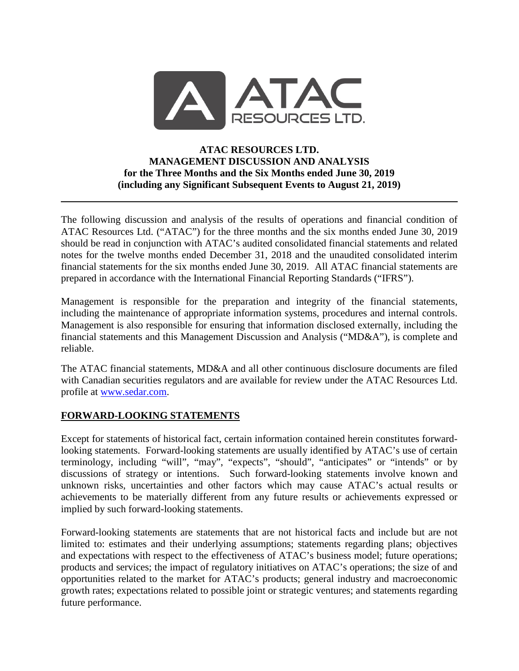

## **ATAC RESOURCES LTD. MANAGEMENT DISCUSSION AND ANALYSIS for the Three Months and the Six Months ended June 30, 2019 (including any Significant Subsequent Events to August 21, 2019)**

The following discussion and analysis of the results of operations and financial condition of ATAC Resources Ltd. ("ATAC") for the three months and the six months ended June 30, 2019 should be read in conjunction with ATAC's audited consolidated financial statements and related notes for the twelve months ended December 31, 2018 and the unaudited consolidated interim financial statements for the six months ended June 30, 2019. All ATAC financial statements are prepared in accordance with the International Financial Reporting Standards ("IFRS").

Management is responsible for the preparation and integrity of the financial statements, including the maintenance of appropriate information systems, procedures and internal controls. Management is also responsible for ensuring that information disclosed externally, including the financial statements and this Management Discussion and Analysis ("MD&A"), is complete and reliable.

The ATAC financial statements, MD&A and all other continuous disclosure documents are filed with Canadian securities regulators and are available for review under the ATAC Resources Ltd. profile at [www.sedar.com.](http://www.sedar.com/)

# **FORWARD-LOOKING STATEMENTS**

Except for statements of historical fact, certain information contained herein constitutes forwardlooking statements. Forward-looking statements are usually identified by ATAC's use of certain terminology, including "will", "may", "expects", "should", "anticipates" or "intends" or by discussions of strategy or intentions. Such forward-looking statements involve known and unknown risks, uncertainties and other factors which may cause ATAC's actual results or achievements to be materially different from any future results or achievements expressed or implied by such forward-looking statements.

Forward-looking statements are statements that are not historical facts and include but are not limited to: estimates and their underlying assumptions; statements regarding plans; objectives and expectations with respect to the effectiveness of ATAC's business model; future operations; products and services; the impact of regulatory initiatives on ATAC's operations; the size of and opportunities related to the market for ATAC's products; general industry and macroeconomic growth rates; expectations related to possible joint or strategic ventures; and statements regarding future performance.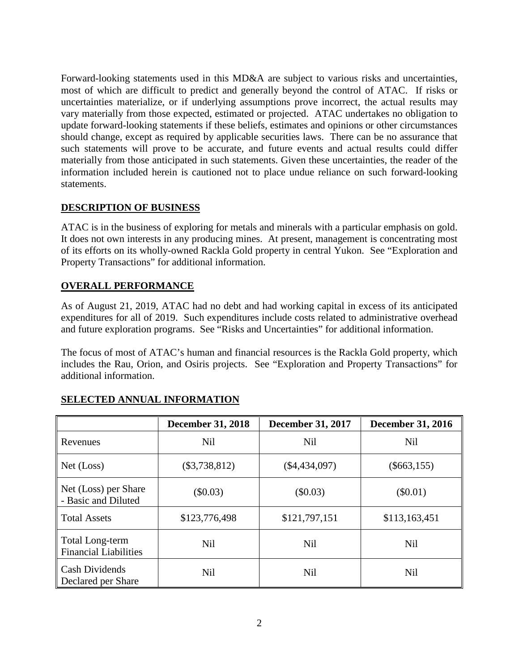Forward-looking statements used in this MD&A are subject to various risks and uncertainties, most of which are difficult to predict and generally beyond the control of ATAC. If risks or uncertainties materialize, or if underlying assumptions prove incorrect, the actual results may vary materially from those expected, estimated or projected. ATAC undertakes no obligation to update forward-looking statements if these beliefs, estimates and opinions or other circumstances should change, except as required by applicable securities laws. There can be no assurance that such statements will prove to be accurate, and future events and actual results could differ materially from those anticipated in such statements. Given these uncertainties, the reader of the information included herein is cautioned not to place undue reliance on such forward-looking statements.

## **DESCRIPTION OF BUSINESS**

ATAC is in the business of exploring for metals and minerals with a particular emphasis on gold. It does not own interests in any producing mines. At present, management is concentrating most of its efforts on its wholly-owned Rackla Gold property in central Yukon. See "Exploration and Property Transactions" for additional information.

# **OVERALL PERFORMANCE**

As of August 21, 2019, ATAC had no debt and had working capital in excess of its anticipated expenditures for all of 2019. Such expenditures include costs related to administrative overhead and future exploration programs. See "Risks and Uncertainties" for additional information.

The focus of most of ATAC's human and financial resources is the Rackla Gold property, which includes the Rau, Orion, and Osiris projects. See "Exploration and Property Transactions" for additional information.

|                                                 | <b>December 31, 2018</b> | <b>December 31, 2017</b> | <b>December 31, 2016</b> |
|-------------------------------------------------|--------------------------|--------------------------|--------------------------|
| Revenues                                        | <b>Nil</b>               | <b>Nil</b>               | <b>Nil</b>               |
| Net (Loss)                                      | $(\$3,738,812)$          | $(\$4,434,097)$          | $(\$663,155)$            |
| Net (Loss) per Share<br>- Basic and Diluted     | (\$0.03)                 | (\$0.03)                 | $(\$0.01)$               |
| <b>Total Assets</b>                             | \$123,776,498            | \$121,797,151            | \$113,163,451            |
| Total Long-term<br><b>Financial Liabilities</b> | <b>Nil</b>               | <b>Nil</b>               | <b>Nil</b>               |
| <b>Cash Dividends</b><br>Declared per Share     | <b>Nil</b>               | <b>Nil</b>               | <b>Nil</b>               |

# **SELECTED ANNUAL INFORMATION**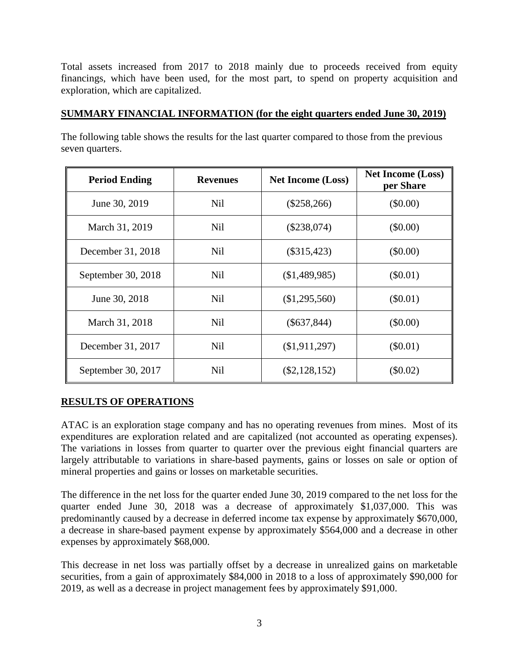Total assets increased from 2017 to 2018 mainly due to proceeds received from equity financings, which have been used, for the most part, to spend on property acquisition and exploration, which are capitalized.

### **SUMMARY FINANCIAL INFORMATION (for the eight quarters ended June 30, 2019)**

The following table shows the results for the last quarter compared to those from the previous seven quarters.

| <b>Period Ending</b> | <b>Revenues</b> | <b>Net Income (Loss)</b> | <b>Net Income (Loss)</b><br>per Share |
|----------------------|-----------------|--------------------------|---------------------------------------|
| June 30, 2019        | Nil             | $(\$258,266)$            | $(\$0.00)$                            |
| March 31, 2019       | Nil             | $(\$238,074)$            | $(\$0.00)$                            |
| December 31, 2018    | <b>Nil</b>      | $(\$315,423)$            | $(\$0.00)$                            |
| September 30, 2018   | <b>Nil</b>      | (\$1,489,985)            | $(\$0.01)$                            |
| June 30, 2018        | <b>Nil</b>      | (\$1,295,560)            | $(\$0.01)$                            |
| March 31, 2018       | <b>Nil</b>      | $(\$637,844)$            | $(\$0.00)$                            |
| December 31, 2017    | <b>Nil</b>      | (\$1,911,297)            | $(\$0.01)$                            |
| September 30, 2017   | Nil             | $(\$2,128,152)$          | $(\$0.02)$                            |

## **RESULTS OF OPERATIONS**

ATAC is an exploration stage company and has no operating revenues from mines. Most of its expenditures are exploration related and are capitalized (not accounted as operating expenses). The variations in losses from quarter to quarter over the previous eight financial quarters are largely attributable to variations in share-based payments, gains or losses on sale or option of mineral properties and gains or losses on marketable securities.

The difference in the net loss for the quarter ended June 30, 2019 compared to the net loss for the quarter ended June 30, 2018 was a decrease of approximately \$1,037,000. This was predominantly caused by a decrease in deferred income tax expense by approximately \$670,000, a decrease in share-based payment expense by approximately \$564,000 and a decrease in other expenses by approximately \$68,000.

This decrease in net loss was partially offset by a decrease in unrealized gains on marketable securities, from a gain of approximately \$84,000 in 2018 to a loss of approximately \$90,000 for 2019, as well as a decrease in project management fees by approximately \$91,000.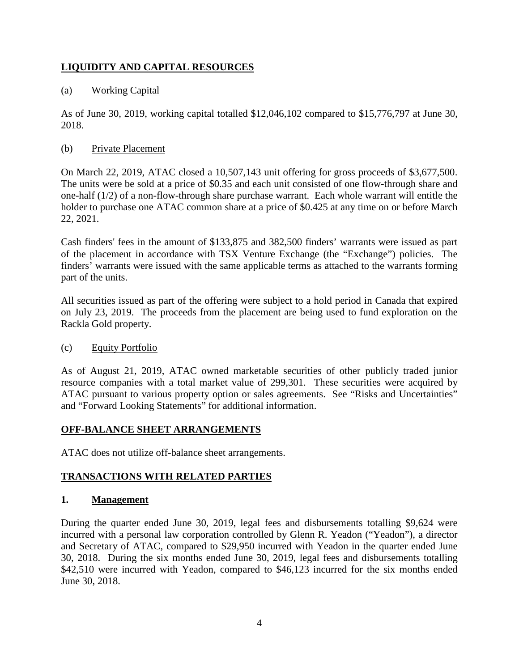# **LIQUIDITY AND CAPITAL RESOURCES**

## (a) Working Capital

As of June 30, 2019, working capital totalled \$12,046,102 compared to \$15,776,797 at June 30, 2018.

## (b) Private Placement

On March 22, 2019, ATAC closed a 10,507,143 unit offering for gross proceeds of \$3,677,500. The units were be sold at a price of \$0.35 and each unit consisted of one flow-through share and one-half (1/2) of a non-flow-through share purchase warrant. Each whole warrant will entitle the holder to purchase one ATAC common share at a price of \$0.425 at any time on or before March 22, 2021.

Cash finders' fees in the amount of \$133,875 and 382,500 finders' warrants were issued as part of the placement in accordance with TSX Venture Exchange (the "Exchange") policies. The finders' warrants were issued with the same applicable terms as attached to the warrants forming part of the units.

All securities issued as part of the offering were subject to a hold period in Canada that expired on July 23, 2019. The proceeds from the placement are being used to fund exploration on the Rackla Gold property.

## (c) Equity Portfolio

As of August 21, 2019, ATAC owned marketable securities of other publicly traded junior resource companies with a total market value of 299,301. These securities were acquired by ATAC pursuant to various property option or sales agreements. See "Risks and Uncertainties" and "Forward Looking Statements" for additional information.

## **OFF-BALANCE SHEET ARRANGEMENTS**

ATAC does not utilize off-balance sheet arrangements.

## **TRANSACTIONS WITH RELATED PARTIES**

## **1. Management**

During the quarter ended June 30, 2019, legal fees and disbursements totalling \$9,624 were incurred with a personal law corporation controlled by Glenn R. Yeadon ("Yeadon"), a director and Secretary of ATAC, compared to \$29,950 incurred with Yeadon in the quarter ended June 30, 2018. During the six months ended June 30, 2019, legal fees and disbursements totalling \$42,510 were incurred with Yeadon, compared to \$46,123 incurred for the six months ended June 30, 2018.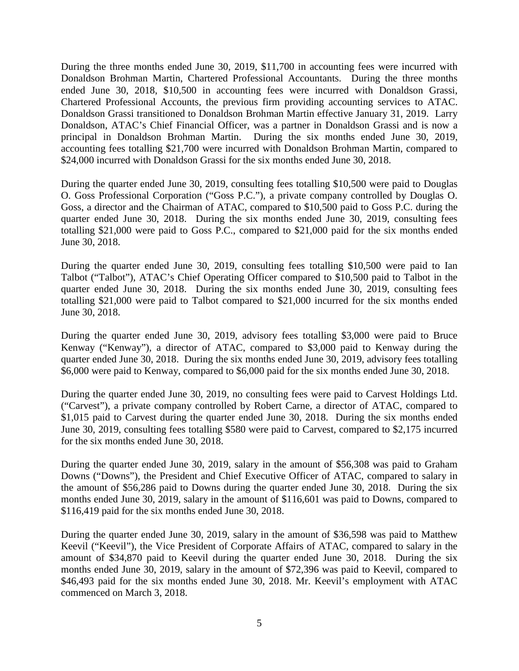During the three months ended June 30, 2019, \$11,700 in accounting fees were incurred with Donaldson Brohman Martin, Chartered Professional Accountants. During the three months ended June 30, 2018, \$10,500 in accounting fees were incurred with Donaldson Grassi, Chartered Professional Accounts, the previous firm providing accounting services to ATAC. Donaldson Grassi transitioned to Donaldson Brohman Martin effective January 31, 2019. Larry Donaldson, ATAC's Chief Financial Officer, was a partner in Donaldson Grassi and is now a principal in Donaldson Brohman Martin. During the six months ended June 30, 2019, accounting fees totalling \$21,700 were incurred with Donaldson Brohman Martin, compared to \$24,000 incurred with Donaldson Grassi for the six months ended June 30, 2018.

During the quarter ended June 30, 2019, consulting fees totalling \$10,500 were paid to Douglas O. Goss Professional Corporation ("Goss P.C."), a private company controlled by Douglas O. Goss, a director and the Chairman of ATAC, compared to \$10,500 paid to Goss P.C. during the quarter ended June 30, 2018. During the six months ended June 30, 2019, consulting fees totalling \$21,000 were paid to Goss P.C., compared to \$21,000 paid for the six months ended June 30, 2018.

During the quarter ended June 30, 2019, consulting fees totalling \$10,500 were paid to Ian Talbot ("Talbot"), ATAC's Chief Operating Officer compared to \$10,500 paid to Talbot in the quarter ended June 30, 2018. During the six months ended June 30, 2019, consulting fees totalling \$21,000 were paid to Talbot compared to \$21,000 incurred for the six months ended June 30, 2018.

During the quarter ended June 30, 2019, advisory fees totalling \$3,000 were paid to Bruce Kenway ("Kenway"), a director of ATAC, compared to \$3,000 paid to Kenway during the quarter ended June 30, 2018. During the six months ended June 30, 2019, advisory fees totalling \$6,000 were paid to Kenway, compared to \$6,000 paid for the six months ended June 30, 2018.

During the quarter ended June 30, 2019, no consulting fees were paid to Carvest Holdings Ltd. ("Carvest"), a private company controlled by Robert Carne, a director of ATAC, compared to \$1,015 paid to Carvest during the quarter ended June 30, 2018. During the six months ended June 30, 2019, consulting fees totalling \$580 were paid to Carvest, compared to \$2,175 incurred for the six months ended June 30, 2018.

During the quarter ended June 30, 2019, salary in the amount of \$56,308 was paid to Graham Downs ("Downs"), the President and Chief Executive Officer of ATAC, compared to salary in the amount of \$56,286 paid to Downs during the quarter ended June 30, 2018. During the six months ended June 30, 2019, salary in the amount of \$116,601 was paid to Downs, compared to \$116,419 paid for the six months ended June 30, 2018.

During the quarter ended June 30, 2019, salary in the amount of \$36,598 was paid to Matthew Keevil ("Keevil"), the Vice President of Corporate Affairs of ATAC, compared to salary in the amount of \$34,870 paid to Keevil during the quarter ended June 30, 2018. During the six months ended June 30, 2019, salary in the amount of \$72,396 was paid to Keevil, compared to \$46,493 paid for the six months ended June 30, 2018. Mr. Keevil's employment with ATAC commenced on March 3, 2018.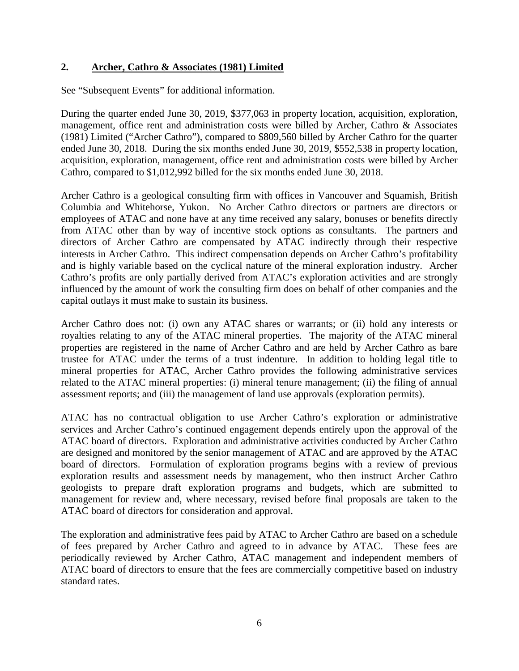### **2. Archer, Cathro & Associates (1981) Limited**

See "Subsequent Events" for additional information.

During the quarter ended June 30, 2019, \$377,063 in property location, acquisition, exploration, management, office rent and administration costs were billed by Archer, Cathro & Associates (1981) Limited ("Archer Cathro"), compared to \$809,560 billed by Archer Cathro for the quarter ended June 30, 2018. During the six months ended June 30, 2019, \$552,538 in property location, acquisition, exploration, management, office rent and administration costs were billed by Archer Cathro, compared to \$1,012,992 billed for the six months ended June 30, 2018.

Archer Cathro is a geological consulting firm with offices in Vancouver and Squamish, British Columbia and Whitehorse, Yukon. No Archer Cathro directors or partners are directors or employees of ATAC and none have at any time received any salary, bonuses or benefits directly from ATAC other than by way of incentive stock options as consultants. The partners and directors of Archer Cathro are compensated by ATAC indirectly through their respective interests in Archer Cathro. This indirect compensation depends on Archer Cathro's profitability and is highly variable based on the cyclical nature of the mineral exploration industry. Archer Cathro's profits are only partially derived from ATAC's exploration activities and are strongly influenced by the amount of work the consulting firm does on behalf of other companies and the capital outlays it must make to sustain its business.

Archer Cathro does not: (i) own any ATAC shares or warrants; or (ii) hold any interests or royalties relating to any of the ATAC mineral properties. The majority of the ATAC mineral properties are registered in the name of Archer Cathro and are held by Archer Cathro as bare trustee for ATAC under the terms of a trust indenture. In addition to holding legal title to mineral properties for ATAC, Archer Cathro provides the following administrative services related to the ATAC mineral properties: (i) mineral tenure management; (ii) the filing of annual assessment reports; and (iii) the management of land use approvals (exploration permits).

ATAC has no contractual obligation to use Archer Cathro's exploration or administrative services and Archer Cathro's continued engagement depends entirely upon the approval of the ATAC board of directors. Exploration and administrative activities conducted by Archer Cathro are designed and monitored by the senior management of ATAC and are approved by the ATAC board of directors. Formulation of exploration programs begins with a review of previous exploration results and assessment needs by management, who then instruct Archer Cathro geologists to prepare draft exploration programs and budgets, which are submitted to management for review and, where necessary, revised before final proposals are taken to the ATAC board of directors for consideration and approval.

The exploration and administrative fees paid by ATAC to Archer Cathro are based on a schedule of fees prepared by Archer Cathro and agreed to in advance by ATAC. These fees are periodically reviewed by Archer Cathro, ATAC management and independent members of ATAC board of directors to ensure that the fees are commercially competitive based on industry standard rates.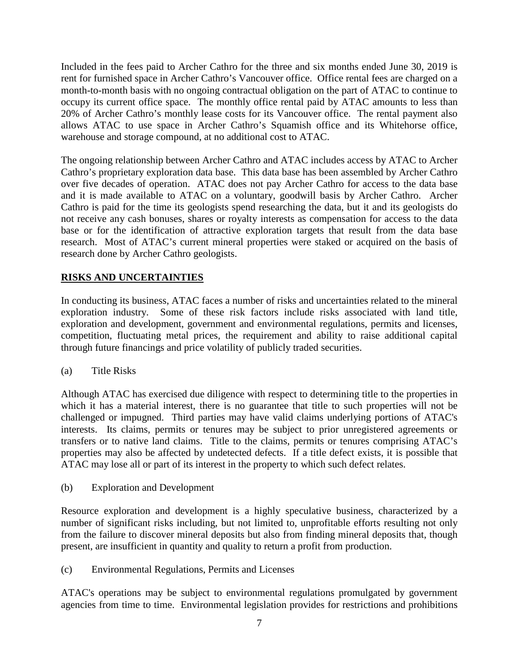Included in the fees paid to Archer Cathro for the three and six months ended June 30, 2019 is rent for furnished space in Archer Cathro's Vancouver office. Office rental fees are charged on a month-to-month basis with no ongoing contractual obligation on the part of ATAC to continue to occupy its current office space. The monthly office rental paid by ATAC amounts to less than 20% of Archer Cathro's monthly lease costs for its Vancouver office. The rental payment also allows ATAC to use space in Archer Cathro's Squamish office and its Whitehorse office, warehouse and storage compound, at no additional cost to ATAC.

The ongoing relationship between Archer Cathro and ATAC includes access by ATAC to Archer Cathro's proprietary exploration data base. This data base has been assembled by Archer Cathro over five decades of operation. ATAC does not pay Archer Cathro for access to the data base and it is made available to ATAC on a voluntary, goodwill basis by Archer Cathro. Archer Cathro is paid for the time its geologists spend researching the data, but it and its geologists do not receive any cash bonuses, shares or royalty interests as compensation for access to the data base or for the identification of attractive exploration targets that result from the data base research. Most of ATAC's current mineral properties were staked or acquired on the basis of research done by Archer Cathro geologists.

### **RISKS AND UNCERTAINTIES**

In conducting its business, ATAC faces a number of risks and uncertainties related to the mineral exploration industry. Some of these risk factors include risks associated with land title, exploration and development, government and environmental regulations, permits and licenses, competition, fluctuating metal prices, the requirement and ability to raise additional capital through future financings and price volatility of publicly traded securities.

(a) Title Risks

Although ATAC has exercised due diligence with respect to determining title to the properties in which it has a material interest, there is no guarantee that title to such properties will not be challenged or impugned. Third parties may have valid claims underlying portions of ATAC's interests. Its claims, permits or tenures may be subject to prior unregistered agreements or transfers or to native land claims. Title to the claims, permits or tenures comprising ATAC's properties may also be affected by undetected defects. If a title defect exists, it is possible that ATAC may lose all or part of its interest in the property to which such defect relates.

(b) Exploration and Development

Resource exploration and development is a highly speculative business, characterized by a number of significant risks including, but not limited to, unprofitable efforts resulting not only from the failure to discover mineral deposits but also from finding mineral deposits that, though present, are insufficient in quantity and quality to return a profit from production.

(c) Environmental Regulations, Permits and Licenses

ATAC's operations may be subject to environmental regulations promulgated by government agencies from time to time. Environmental legislation provides for restrictions and prohibitions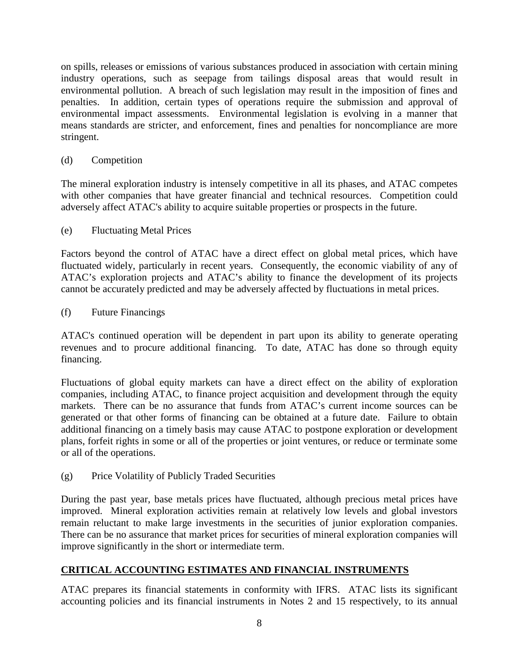on spills, releases or emissions of various substances produced in association with certain mining industry operations, such as seepage from tailings disposal areas that would result in environmental pollution. A breach of such legislation may result in the imposition of fines and penalties. In addition, certain types of operations require the submission and approval of environmental impact assessments. Environmental legislation is evolving in a manner that means standards are stricter, and enforcement, fines and penalties for noncompliance are more stringent.

## (d) Competition

The mineral exploration industry is intensely competitive in all its phases, and ATAC competes with other companies that have greater financial and technical resources. Competition could adversely affect ATAC's ability to acquire suitable properties or prospects in the future.

# (e) Fluctuating Metal Prices

Factors beyond the control of ATAC have a direct effect on global metal prices, which have fluctuated widely, particularly in recent years. Consequently, the economic viability of any of ATAC's exploration projects and ATAC's ability to finance the development of its projects cannot be accurately predicted and may be adversely affected by fluctuations in metal prices.

## (f) Future Financings

ATAC's continued operation will be dependent in part upon its ability to generate operating revenues and to procure additional financing. To date, ATAC has done so through equity financing.

Fluctuations of global equity markets can have a direct effect on the ability of exploration companies, including ATAC, to finance project acquisition and development through the equity markets. There can be no assurance that funds from ATAC's current income sources can be generated or that other forms of financing can be obtained at a future date. Failure to obtain additional financing on a timely basis may cause ATAC to postpone exploration or development plans, forfeit rights in some or all of the properties or joint ventures, or reduce or terminate some or all of the operations.

(g) Price Volatility of Publicly Traded Securities

During the past year, base metals prices have fluctuated, although precious metal prices have improved. Mineral exploration activities remain at relatively low levels and global investors remain reluctant to make large investments in the securities of junior exploration companies. There can be no assurance that market prices for securities of mineral exploration companies will improve significantly in the short or intermediate term.

# **CRITICAL ACCOUNTING ESTIMATES AND FINANCIAL INSTRUMENTS**

ATAC prepares its financial statements in conformity with IFRS. ATAC lists its significant accounting policies and its financial instruments in Notes 2 and 15 respectively, to its annual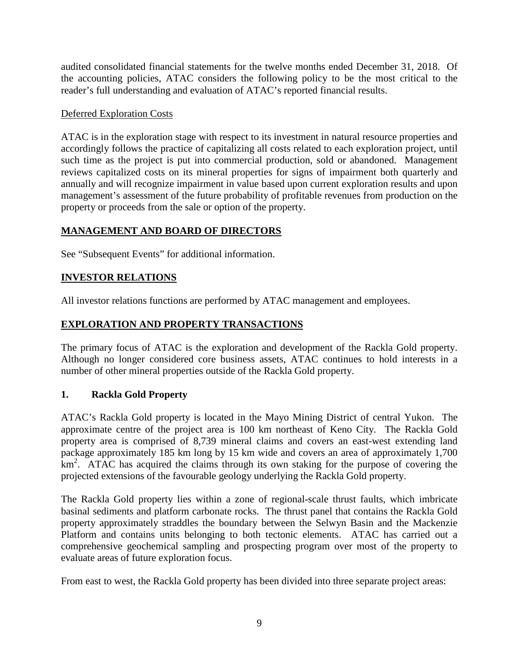audited consolidated financial statements for the twelve months ended December 31, 2018. Of the accounting policies, ATAC considers the following policy to be the most critical to the reader's full understanding and evaluation of ATAC's reported financial results.

### Deferred Exploration Costs

ATAC is in the exploration stage with respect to its investment in natural resource properties and accordingly follows the practice of capitalizing all costs related to each exploration project, until such time as the project is put into commercial production, sold or abandoned. Management reviews capitalized costs on its mineral properties for signs of impairment both quarterly and annually and will recognize impairment in value based upon current exploration results and upon management's assessment of the future probability of profitable revenues from production on the property or proceeds from the sale or option of the property.

# **MANAGEMENT AND BOARD OF DIRECTORS**

See "Subsequent Events" for additional information.

## **INVESTOR RELATIONS**

All investor relations functions are performed by ATAC management and employees.

# **EXPLORATION AND PROPERTY TRANSACTIONS**

The primary focus of ATAC is the exploration and development of the Rackla Gold property. Although no longer considered core business assets, ATAC continues to hold interests in a number of other mineral properties outside of the Rackla Gold property.

## **1. Rackla Gold Property**

ATAC's Rackla Gold property is located in the Mayo Mining District of central Yukon. The approximate centre of the project area is 100 km northeast of Keno City. The Rackla Gold property area is comprised of 8,739 mineral claims and covers an east-west extending land package approximately 185 km long by 15 km wide and covers an area of approximately 1,700 km<sup>2</sup>. ATAC has acquired the claims through its own staking for the purpose of covering the projected extensions of the favourable geology underlying the Rackla Gold property.

The Rackla Gold property lies within a zone of regional-scale thrust faults, which imbricate basinal sediments and platform carbonate rocks. The thrust panel that contains the Rackla Gold property approximately straddles the boundary between the Selwyn Basin and the Mackenzie Platform and contains units belonging to both tectonic elements. ATAC has carried out a comprehensive geochemical sampling and prospecting program over most of the property to evaluate areas of future exploration focus.

From east to west, the Rackla Gold property has been divided into three separate project areas: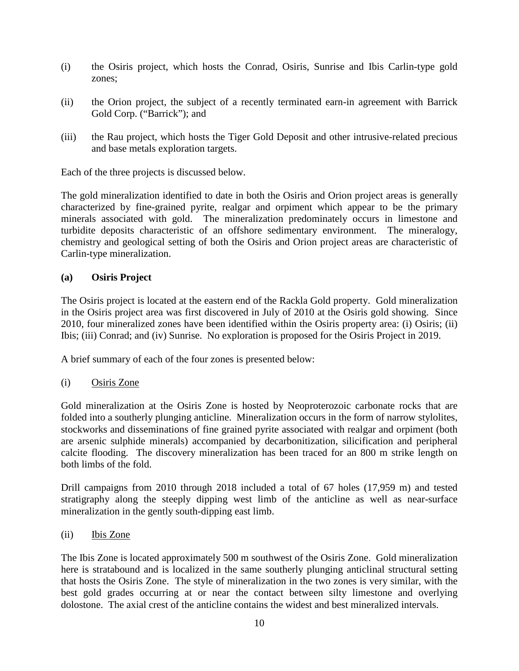- (i) the Osiris project, which hosts the Conrad, Osiris, Sunrise and Ibis Carlin-type gold zones;
- (ii) the Orion project, the subject of a recently terminated earn-in agreement with Barrick Gold Corp. ("Barrick"); and
- (iii) the Rau project, which hosts the Tiger Gold Deposit and other intrusive-related precious and base metals exploration targets.

Each of the three projects is discussed below.

The gold mineralization identified to date in both the Osiris and Orion project areas is generally characterized by fine-grained pyrite, realgar and orpiment which appear to be the primary minerals associated with gold. The mineralization predominately occurs in limestone and turbidite deposits characteristic of an offshore sedimentary environment. The mineralogy, chemistry and geological setting of both the Osiris and Orion project areas are characteristic of Carlin-type mineralization.

### **(a) Osiris Project**

The Osiris project is located at the eastern end of the Rackla Gold property. Gold mineralization in the Osiris project area was first discovered in July of 2010 at the Osiris gold showing. Since 2010, four mineralized zones have been identified within the Osiris property area: (i) Osiris; (ii) Ibis; (iii) Conrad; and (iv) Sunrise. No exploration is proposed for the Osiris Project in 2019.

A brief summary of each of the four zones is presented below:

(i) Osiris Zone

Gold mineralization at the Osiris Zone is hosted by Neoproterozoic carbonate rocks that are folded into a southerly plunging anticline. Mineralization occurs in the form of narrow stylolites, stockworks and disseminations of fine grained pyrite associated with realgar and orpiment (both are arsenic sulphide minerals) accompanied by decarbonitization, silicification and peripheral calcite flooding. The discovery mineralization has been traced for an 800 m strike length on both limbs of the fold.

Drill campaigns from 2010 through 2018 included a total of 67 holes (17,959 m) and tested stratigraphy along the steeply dipping west limb of the anticline as well as near-surface mineralization in the gently south-dipping east limb.

(ii) Ibis Zone

The Ibis Zone is located approximately 500 m southwest of the Osiris Zone. Gold mineralization here is stratabound and is localized in the same southerly plunging anticlinal structural setting that hosts the Osiris Zone. The style of mineralization in the two zones is very similar, with the best gold grades occurring at or near the contact between silty limestone and overlying dolostone. The axial crest of the anticline contains the widest and best mineralized intervals.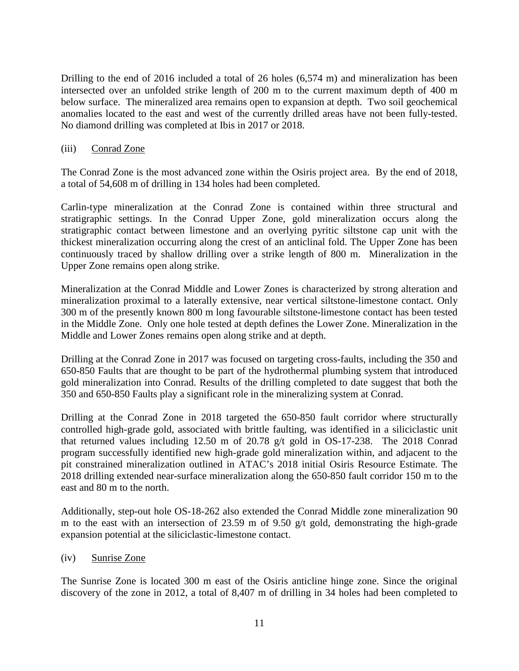Drilling to the end of 2016 included a total of 26 holes (6,574 m) and mineralization has been intersected over an unfolded strike length of 200 m to the current maximum depth of 400 m below surface. The mineralized area remains open to expansion at depth. Two soil geochemical anomalies located to the east and west of the currently drilled areas have not been fully-tested. No diamond drilling was completed at Ibis in 2017 or 2018.

### (iii) Conrad Zone

The Conrad Zone is the most advanced zone within the Osiris project area. By the end of 2018, a total of 54,608 m of drilling in 134 holes had been completed.

Carlin-type mineralization at the Conrad Zone is contained within three structural and stratigraphic settings. In the Conrad Upper Zone, gold mineralization occurs along the stratigraphic contact between limestone and an overlying pyritic siltstone cap unit with the thickest mineralization occurring along the crest of an anticlinal fold. The Upper Zone has been continuously traced by shallow drilling over a strike length of 800 m. Mineralization in the Upper Zone remains open along strike.

Mineralization at the Conrad Middle and Lower Zones is characterized by strong alteration and mineralization proximal to a laterally extensive, near vertical siltstone-limestone contact. Only 300 m of the presently known 800 m long favourable siltstone-limestone contact has been tested in the Middle Zone. Only one hole tested at depth defines the Lower Zone. Mineralization in the Middle and Lower Zones remains open along strike and at depth.

Drilling at the Conrad Zone in 2017 was focused on targeting cross-faults, including the 350 and 650-850 Faults that are thought to be part of the hydrothermal plumbing system that introduced gold mineralization into Conrad. Results of the drilling completed to date suggest that both the 350 and 650-850 Faults play a significant role in the mineralizing system at Conrad.

Drilling at the Conrad Zone in 2018 targeted the 650-850 fault corridor where structurally controlled high-grade gold, associated with brittle faulting, was identified in a siliciclastic unit that returned values including 12.50 m of 20.78 g/t gold in OS-17-238. The 2018 Conrad program successfully identified new high-grade gold mineralization within, and adjacent to the pit constrained mineralization outlined in ATAC's 2018 initial Osiris Resource Estimate. The 2018 drilling extended near-surface mineralization along the 650-850 fault corridor 150 m to the east and 80 m to the north.

Additionally, step-out hole OS-18-262 also extended the Conrad Middle zone mineralization 90 m to the east with an intersection of 23.59 m of 9.50 g/t gold, demonstrating the high-grade expansion potential at the siliciclastic-limestone contact.

(iv) Sunrise Zone

The Sunrise Zone is located 300 m east of the Osiris anticline hinge zone. Since the original discovery of the zone in 2012, a total of 8,407 m of drilling in 34 holes had been completed to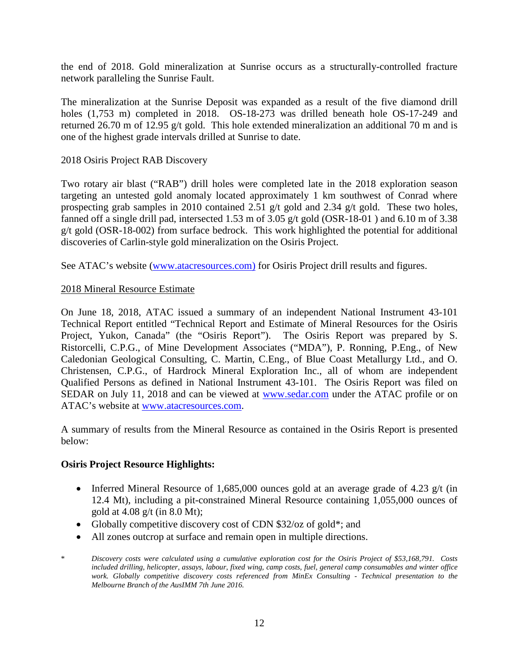the end of 2018. Gold mineralization at Sunrise occurs as a structurally-controlled fracture network paralleling the Sunrise Fault.

The mineralization at the Sunrise Deposit was expanded as a result of the five diamond drill holes (1,753 m) completed in 2018. OS-18-273 was drilled beneath hole OS-17-249 and returned 26.70 m of 12.95 g/t gold. This hole extended mineralization an additional 70 m and is one of the highest grade intervals drilled at Sunrise to date.

### 2018 Osiris Project RAB Discovery

Two rotary air blast ("RAB") drill holes were completed late in the 2018 exploration season targeting an untested gold anomaly located approximately 1 km southwest of Conrad where prospecting grab samples in 2010 contained 2.51 g/t gold and 2.34 g/t gold. These two holes, fanned off a single drill pad, intersected 1.53 m of 3.05 g/t gold (OSR-18-01 ) and 6.10 m of 3.38 g/t gold (OSR-18-002) from surface bedrock. This work highlighted the potential for additional discoveries of Carlin-style gold mineralization on the Osiris Project.

See ATAC's website [\(www.atacresources.com\)](http://www.atacresources.com/) for Osiris Project drill results and figures.

### 2018 Mineral Resource Estimate

On June 18, 2018, ATAC issued a summary of an independent National Instrument 43-101 Technical Report entitled ["Technical Report and Estimate of Mineral Resources for the Osiris](http://www.atacresources.com/assets/img/Osiris_Resource_Estimate_and_Technical_Report_2018.pdf)  [Project, Yukon, Canada"](http://www.atacresources.com/assets/img/Osiris_Resource_Estimate_and_Technical_Report_2018.pdf) (the "Osiris Report"). The Osiris Report was prepared by S. Ristorcelli, C.P.G., of Mine Development Associates ("MDA"), P. Ronning, P.Eng., of New Caledonian Geological Consulting, C. Martin, C.Eng., of Blue Coast Metallurgy Ltd., and O. Christensen, C.P.G., of Hardrock Mineral Exploration Inc., all of whom are independent Qualified Persons as defined in National Instrument 43-101. The Osiris Report was filed on SEDAR on July 11, 2018 and can be viewed at [www.sedar.com](http://www.sedar.com/) under the ATAC profile or on ATAC's website at [www.atacresources.com.](http://www.atacresources.com/)

A summary of results from the Mineral Resource as contained in the Osiris Report is presented below:

### **Osiris Project Resource Highlights:**

- Inferred Mineral Resource of 1,685,000 ounces gold at an average grade of 4.23 g/t (in 12.4 Mt), including a pit-constrained Mineral Resource containing 1,055,000 ounces of gold at 4.08 g/t (in 8.0 Mt);
- Globally competitive discovery cost of CDN \$32/oz of gold\*; and
- All zones outcrop at surface and remain open in multiple directions.
- \* *Discovery costs were calculated using a cumulative exploration cost for the Osiris Project of \$53,168,791. Costs included drilling, helicopter, assays, labour, fixed wing, camp costs, fuel, general camp consumables and winter office work. Globally competitive discovery costs referenced from MinEx Consulting - Technical presentation to the Melbourne Branch of the AusIMM 7th June 2016.*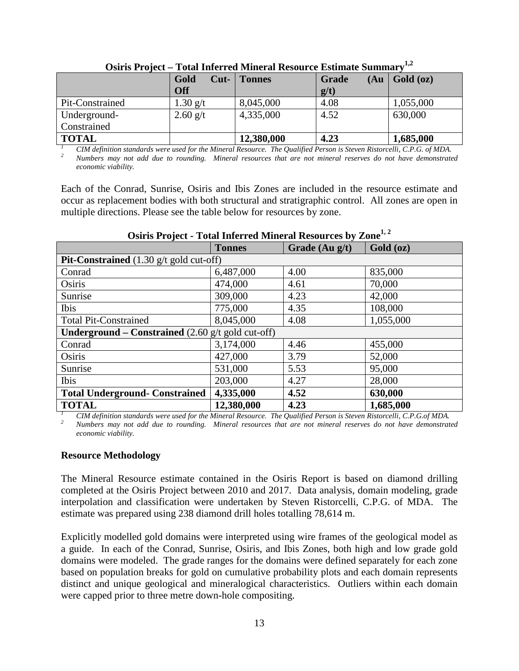|                 | a ovul ameve e vul stamen ul evodove vo asoviminov isvemanti |               |                       |           |
|-----------------|--------------------------------------------------------------|---------------|-----------------------|-----------|
|                 | Gold<br>$Cut-$<br>Off                                        | <b>Tonnes</b> | Grade<br>(Au)<br>g/t) | Gold (oz) |
| Pit-Constrained | $1.30$ g/t                                                   | 8,045,000     | 4.08                  | 1,055,000 |
| Underground-    | $2.60$ g/t                                                   | 4,335,000     | 4.52                  | 630,000   |
| Constrained     |                                                              |               |                       |           |
| <b>TOTAL</b>    |                                                              | 12,380,000    | 4.23                  | 1,685,000 |

**Osiris Project – Total Inferred Mineral Resource Estimate Summary**<sup>1,2</sup>

CIM definition standards were used for the Mineral Resource. The Qualified Person is Steven Ristorcelli, C.P.G. of MDA.<br>Numbers may not add due to rounding. Mineral resources that are not mineral reserves do not have demon *economic viability.* 

Each of the Conrad, Sunrise, Osiris and Ibis Zones are included in the resource estimate and occur as replacement bodies with both structural and stratigraphic control. All zones are open in multiple directions. Please see the table below for resources by zone.

|                                                                            | <b>Tonnes</b> | Grade (Au g/t) | Gold (oz) |  |  |
|----------------------------------------------------------------------------|---------------|----------------|-----------|--|--|
| <b>Pit-Constrained</b> $(1.30 \text{ g/t} \text{ gold cut-off})$           |               |                |           |  |  |
| Conrad                                                                     | 6,487,000     | 4.00           | 835,000   |  |  |
| Osiris                                                                     | 474,000       | 4.61           | 70,000    |  |  |
| Sunrise                                                                    | 309,000       | 4.23           | 42,000    |  |  |
| Ibis                                                                       | 775,000       | 4.35           | 108,000   |  |  |
| <b>Total Pit-Constrained</b>                                               | 8,045,000     | 4.08           | 1,055,000 |  |  |
| <b>Underground – Constrained</b> $(2.60 \text{ g/t} \text{ gold cut-off})$ |               |                |           |  |  |
| Conrad                                                                     | 3,174,000     | 4.46           | 455,000   |  |  |
| Osiris                                                                     | 427,000       | 3.79           | 52,000    |  |  |
| Sunrise                                                                    | 531,000       | 5.53           | 95,000    |  |  |
| Ibis                                                                       | 203,000       | 4.27           | 28,000    |  |  |
| <b>Total Underground- Constrained</b>                                      | 4,335,000     | 4.52           | 630,000   |  |  |
| <b>TOTAL</b>                                                               | 12,380,000    | 4.23           | 1,685,000 |  |  |

### **Osiris Project - Total Inferred Mineral Resources by Zone**<sup>1, 2</sup>

CIM definition standards were used for the Mineral Resource. The Qualified Person is Steven Ristorcelli, C.P.G.of MDA.<br>Numbers may not add due to rounding. Mineral resources that are not mineral reserves do not have demons *economic viability.* 

#### **Resource Methodology**

The Mineral Resource estimate contained in the Osiris Report is based on diamond drilling completed at the Osiris Project between 2010 and 2017. Data analysis, domain modeling, grade interpolation and classification were undertaken by Steven Ristorcelli, C.P.G. of MDA. The estimate was prepared using 238 diamond drill holes totalling 78,614 m.

Explicitly modelled gold domains were interpreted using wire frames of the geological model as a guide. In each of the Conrad, Sunrise, Osiris, and Ibis Zones, both high and low grade gold domains were modeled. The grade ranges for the domains were defined separately for each zone based on population breaks for gold on cumulative probability plots and each domain represents distinct and unique geological and mineralogical characteristics. Outliers within each domain were capped prior to three metre down-hole compositing.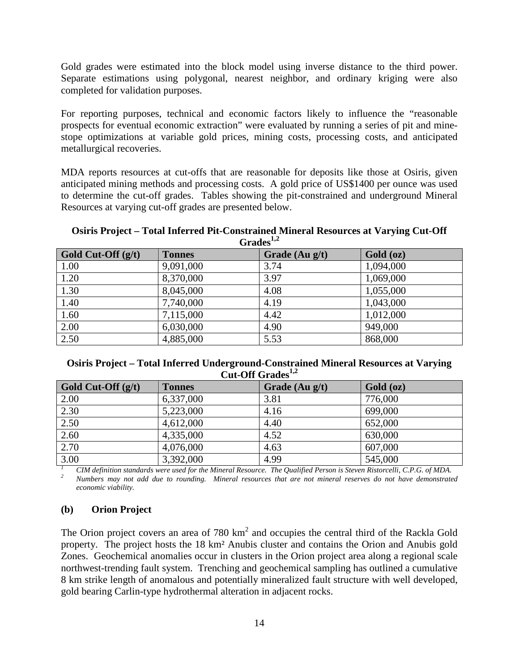Gold grades were estimated into the block model using inverse distance to the third power. Separate estimations using polygonal, nearest neighbor, and ordinary kriging were also completed for validation purposes.

For reporting purposes, technical and economic factors likely to influence the "reasonable prospects for eventual economic extraction" were evaluated by running a series of pit and minestope optimizations at variable gold prices, mining costs, processing costs, and anticipated metallurgical recoveries.

MDA reports resources at cut-offs that are reasonable for deposits like those at Osiris, given anticipated mining methods and processing costs. A gold price of US\$1400 per ounce was used to determine the cut-off grades. Tables showing the pit-constrained and underground Mineral Resources at varying cut-off grades are presented below.

#### **Osiris Project – Total Inferred Pit-Constrained Mineral Resources at Varying Cut-Off Grades1,2**

| .                    |               |                  |           |  |
|----------------------|---------------|------------------|-----------|--|
| Gold Cut-Off $(g/t)$ | <b>Tonnes</b> | Grade $(Au g/t)$ | Gold (oz) |  |
| 1.00                 | 9,091,000     | 3.74             | 1,094,000 |  |
| 1.20                 | 8,370,000     | 3.97             | 1,069,000 |  |
| 1.30                 | 8,045,000     | 4.08             | 1,055,000 |  |
| 1.40                 | 7,740,000     | 4.19             | 1,043,000 |  |
| 1.60                 | 7,115,000     | 4.42             | 1,012,000 |  |
| 2.00                 | 6,030,000     | 4.90             | 949,000   |  |
| 2.50                 | 4,885,000     | 5.53             | 868,000   |  |

### **Osiris Project – Total Inferred Underground-Constrained Mineral Resources at Varying Cut-Off Grades1,2**

| Gold Cut-Off $(g/t)$ | <b>Tonnes</b> | Grade $(Au g/t)$ | Gold (oz) |
|----------------------|---------------|------------------|-----------|
| 2.00                 | 6,337,000     | 3.81             | 776,000   |
| 2.30                 | 5,223,000     | 4.16             | 699,000   |
| 2.50                 | 4,612,000     | 4.40             | 652,000   |
| 2.60                 | 4,335,000     | 4.52             | 630,000   |
| 2.70                 | 4,076,000     | 4.63             | 607,000   |
| 3.00                 | 3,392,000     | 4.99             | 545,000   |

<sup>1</sup> CIM definition standards were used for the Mineral Resource. The Qualified Person is Steven Ristorcelli, C.P.G. of MDA.<br><sup>2</sup> Numbers may not add due to rounding. Mineral resources that are not mineral reserves do not h *economic viability.* 

## **(b) Orion Project**

The Orion project covers an area of 780 km<sup>2</sup> and occupies the central third of the Rackla Gold property. The project hosts the 18 km² Anubis cluster and contains the Orion and Anubis gold Zones. Geochemical anomalies occur in clusters in the Orion project area along a regional scale northwest-trending fault system. Trenching and geochemical sampling has outlined a cumulative 8 km strike length of anomalous and potentially mineralized fault structure with well developed, gold bearing Carlin-type hydrothermal alteration in adjacent rocks.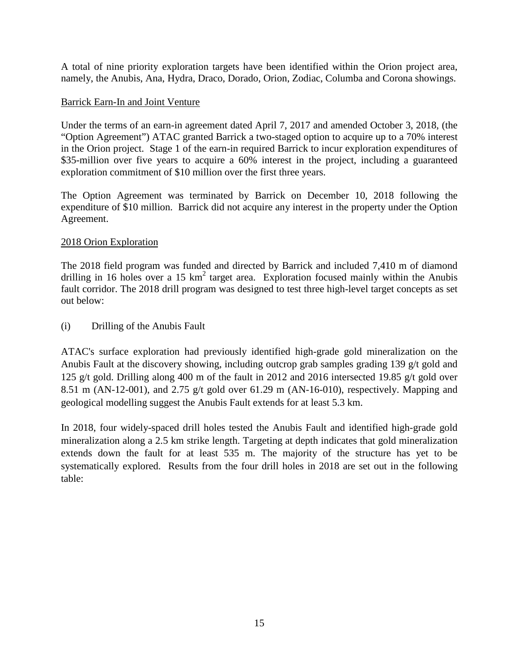A total of nine priority exploration targets have been identified within the Orion project area, namely, the Anubis, Ana, Hydra, Draco, Dorado, Orion, Zodiac, Columba and Corona showings.

### Barrick Earn-In and Joint Venture

Under the terms of an earn-in agreement dated April 7, 2017 and amended October 3, 2018, (the "Option Agreement") ATAC granted Barrick a two-staged option to acquire up to a 70% interest in the Orion project. Stage 1 of the earn-in required Barrick to incur exploration expenditures of \$35-million over five years to acquire a 60% interest in the project, including a guaranteed exploration commitment of \$10 million over the first three years.

The Option Agreement was terminated by Barrick on December 10, 2018 following the expenditure of \$10 million. Barrick did not acquire any interest in the property under the Option Agreement.

### 2018 Orion Exploration

The 2018 field program was funded and directed by Barrick and included 7,410 m of diamond drilling in 16 holes over a 15  $km^2$  target area. Exploration focused mainly within the Anubis fault corridor. The 2018 drill program was designed to test three high-level target concepts as set out below:

(i) Drilling of the Anubis Fault

ATAC's surface exploration had previously identified high-grade gold mineralization on the Anubis Fault at the discovery showing, including outcrop grab samples grading 139 g/t gold and 125 g/t gold. Drilling along 400 m of the fault in 2012 and 2016 intersected 19.85 g/t gold over 8.51 m (AN-12-001), and 2.75 g/t gold over 61.29 m (AN-16-010), respectively. Mapping and geological modelling suggest the Anubis Fault extends for at least 5.3 km.

In 2018, four widely-spaced drill holes tested the Anubis Fault and identified high-grade gold mineralization along a 2.5 km strike length. Targeting at depth indicates that gold mineralization extends down the fault for at least 535 m. The majority of the structure has yet to be systematically explored. Results from the four drill holes in 2018 are set out in the following table: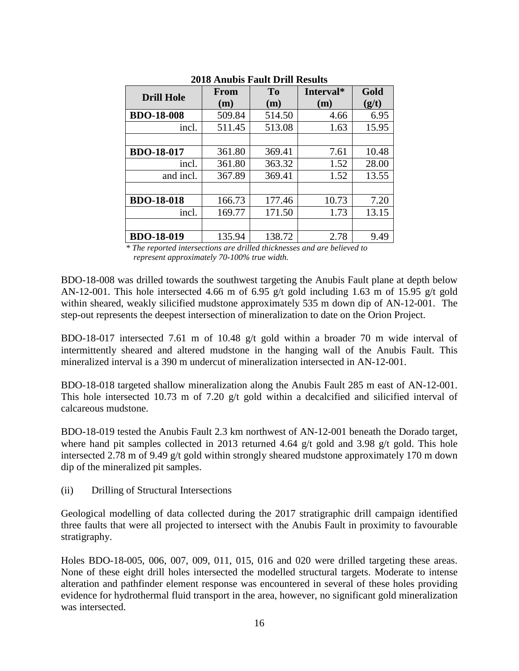|                   | From   | <b>To</b> | Interval* | Gold  |
|-------------------|--------|-----------|-----------|-------|
| <b>Drill Hole</b> | (m)    | (m)       | (m)       | (g/t) |
| <b>BDO-18-008</b> | 509.84 | 514.50    | 4.66      | 6.95  |
| incl.             | 511.45 | 513.08    | 1.63      | 15.95 |
|                   |        |           |           |       |
| <b>BDO-18-017</b> | 361.80 | 369.41    | 7.61      | 10.48 |
| incl.             | 361.80 | 363.32    | 1.52      | 28.00 |
| and incl.         | 367.89 | 369.41    | 1.52      | 13.55 |
|                   |        |           |           |       |
| <b>BDO-18-018</b> | 166.73 | 177.46    | 10.73     | 7.20  |
| incl.             | 169.77 | 171.50    | 1.73      | 13.15 |
|                   |        |           |           |       |
| <b>BDO-18-019</b> | 135.94 | 138.72    | 2.78      | 9.49  |

### **2018 Anubis Fault Drill Results**

*\* The reported intersections are drilled thicknesses and are believed to represent approximately 70-100% true width.*

BDO-18-008 was drilled towards the southwest targeting the Anubis Fault plane at depth below AN-12-001. This hole intersected 4.66 m of 6.95 g/t gold including 1.63 m of 15.95 g/t gold within sheared, weakly silicified mudstone approximately 535 m down dip of AN-12-001. The step-out represents the deepest intersection of mineralization to date on the Orion Project.

BDO-18-017 intersected 7.61 m of 10.48 g/t gold within a broader 70 m wide interval of intermittently sheared and altered mudstone in the hanging wall of the Anubis Fault. This mineralized interval is a 390 m undercut of mineralization intersected in AN-12-001.

BDO-18-018 targeted shallow mineralization along the Anubis Fault 285 m east of AN-12-001. This hole intersected 10.73 m of 7.20 g/t gold within a decalcified and silicified interval of calcareous mudstone.

BDO-18-019 tested the Anubis Fault 2.3 km northwest of AN-12-001 beneath the Dorado target, where hand pit samples collected in 2013 returned 4.64 g/t gold and 3.98 g/t gold. This hole intersected 2.78 m of 9.49 g/t gold within strongly sheared mudstone approximately 170 m down dip of the mineralized pit samples.

(ii) Drilling of Structural Intersections

Geological modelling of data collected during the 2017 stratigraphic drill campaign identified three faults that were all projected to intersect with the Anubis Fault in proximity to favourable stratigraphy.

Holes BDO-18-005, 006, 007, 009, 011, 015, 016 and 020 were drilled targeting these areas. None of these eight drill holes intersected the modelled structural targets. Moderate to intense alteration and pathfinder element response was encountered in several of these holes providing evidence for hydrothermal fluid transport in the area, however, no significant gold mineralization was intersected.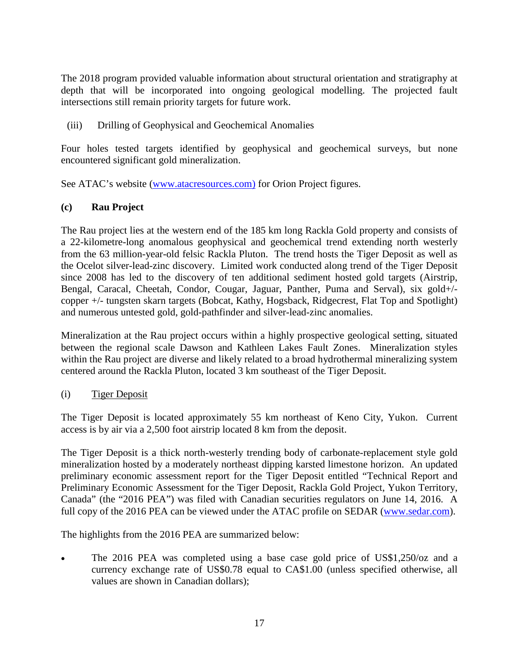The 2018 program provided valuable information about structural orientation and stratigraphy at depth that will be incorporated into ongoing geological modelling. The projected fault intersections still remain priority targets for future work.

(iii) Drilling of Geophysical and Geochemical Anomalies

Four holes tested targets identified by geophysical and geochemical surveys, but none encountered significant gold mineralization.

See ATAC's website [\(www.atacresources.com\)](http://www.atacresources.com/) for Orion Project figures.

# **(c) Rau Project**

The [Rau project](http://www.atacresources.com/projects/rackla/rau-trend) lies at the western end of the 185 km long Rackla Gold property and consists of a 22-kilometre-long anomalous geophysical and geochemical trend extending north westerly from the 63 million-year-old felsic Rackla Pluton. The trend hosts the Tiger Deposit as well as the Ocelot silver-lead-zinc discovery. Limited work conducted along trend of the Tiger Deposit since 2008 has led to the discovery of ten additional sediment hosted gold targets (Airstrip, Bengal, Caracal, Cheetah, Condor, Cougar, Jaguar, Panther, Puma and Serval), six gold+/ copper +/- tungsten skarn targets (Bobcat, Kathy, Hogsback, Ridgecrest, Flat Top and Spotlight) and numerous untested gold, gold-pathfinder and silver-lead-zinc anomalies.

Mineralization at the Rau project occurs within a highly prospective geological setting, situated between the regional scale Dawson and Kathleen Lakes Fault Zones. Mineralization styles within the Rau project are diverse and likely related to a broad hydrothermal mineralizing system centered around the Rackla Pluton, located 3 km southeast of the Tiger Deposit.

(i) Tiger Deposit

The Tiger Deposit is located approximately 55 km northeast of Keno City, Yukon. Current access is by air via a 2,500 foot airstrip located 8 km from the deposit.

The Tiger Deposit is a thick north-westerly trending body of carbonate-replacement style gold mineralization hosted by a moderately northeast dipping karsted limestone horizon. An updated preliminary economic assessment report for the Tiger Deposit entitled "Technical Report and Preliminary Economic Assessment for the Tiger Deposit, Rackla Gold Project, Yukon Territory, Canada" (the "2016 PEA") was filed with Canadian securities regulators on June 14, 2016. A full copy of the 2016 PEA can be viewed under the ATAC profile on SEDAR [\(www.sedar.com\)](http://www.sedar.com/).

The highlights from the 2016 PEA are summarized below:

• The 2016 PEA was completed using a base case gold price of US\$1,250/oz and a currency exchange rate of US\$0.78 equal to CA\$1.00 (unless specified otherwise, all values are shown in Canadian dollars);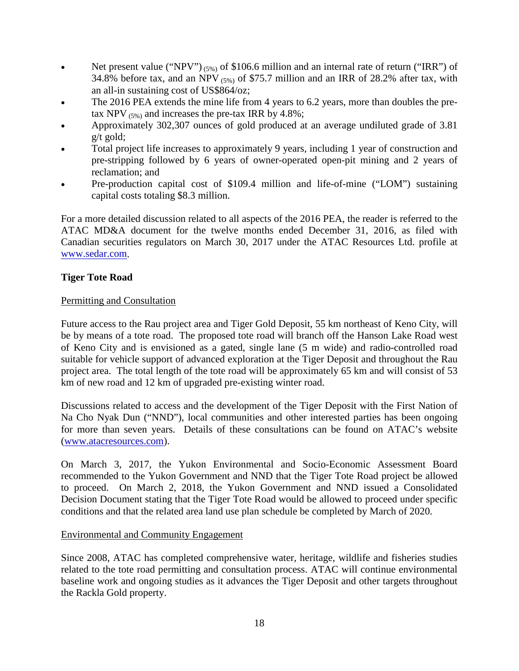- Net present value ("NPV")  $(5\%)$  of \$106.6 million and an internal rate of return ("IRR") of 34.8% before tax, and an NPV  $(5\%)$  of \$75.7 million and an IRR of 28.2% after tax, with an all-in sustaining cost of US\$864/oz;
- The 2016 PEA extends the mine life from 4 years to 6.2 years, more than doubles the pretax NPV  $_{(5\%)}$  and increases the pre-tax IRR by 4.8%;
- Approximately 302,307 ounces of gold produced at an average undiluted grade of 3.81 g/t gold;
- Total project life increases to approximately 9 years, including 1 year of construction and pre-stripping followed by 6 years of owner-operated open-pit mining and 2 years of reclamation; and
- Pre-production capital cost of \$109.4 million and life-of-mine ("LOM") sustaining capital costs totaling \$8.3 million.

For a more detailed discussion related to all aspects of the 2016 PEA, the reader is referred to the ATAC MD&A document for the twelve months ended December 31, 2016, as filed with Canadian securities regulators on March 30, 2017 under the ATAC Resources Ltd. profile at [www.sedar.com.](http://www.sedar.com/)

### **Tiger Tote Road**

### Permitting and Consultation

Future access to the Rau project area and Tiger Gold Deposit, 55 km northeast of Keno City, will be by means of a tote road. The proposed tote road will branch off the Hanson Lake Road west of Keno City and is envisioned as a gated, single lane (5 m wide) and radio-controlled road suitable for vehicle support of advanced exploration at the Tiger Deposit and throughout the Rau project area. The total length of the tote road will be approximately 65 km and will consist of 53 km of new road and 12 km of upgraded pre-existing winter road.

Discussions related to access and the development of the Tiger Deposit with the First Nation of Na Cho Nyak Dun ("NND"), local communities and other interested parties has been ongoing for more than seven years. Details of these consultations can be found on ATAC's website [\(www.atacresources.com\)](http://www.atacresources.com/).

On March 3, 2017, the Yukon Environmental and Socio-Economic Assessment Board recommended to the Yukon Government and NND that the Tiger Tote Road project be allowed to proceed. On March 2, 2018, the Yukon Government and NND issued a Consolidated Decision Document stating that the Tiger Tote Road would be allowed to proceed under specific conditions and that the related area land use plan schedule be completed by March of 2020.

### Environmental and Community Engagement

Since 2008, ATAC has completed comprehensive water, heritage, wildlife and fisheries studies related to the tote road permitting and consultation process. ATAC will continue environmental baseline work and ongoing studies as it advances the Tiger Deposit and other targets throughout the Rackla Gold property.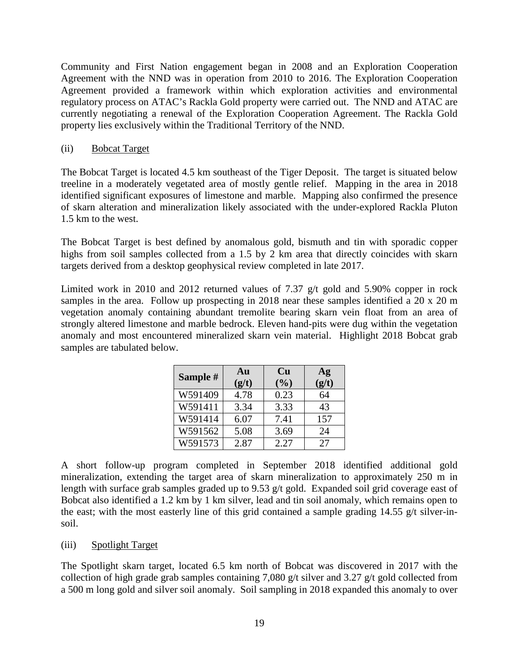Community and First Nation engagement began in 2008 and an Exploration Cooperation Agreement with the NND was in operation from 2010 to 2016. The Exploration Cooperation Agreement provided a framework within which exploration activities and environmental regulatory process on ATAC's Rackla Gold property were carried out. The NND and ATAC are currently negotiating a renewal of the Exploration Cooperation Agreement. The Rackla Gold property lies exclusively within the Traditional Territory of the NND.

### (ii) Bobcat Target

The Bobcat Target is located 4.5 km southeast of the Tiger Deposit. The target is situated below treeline in a moderately vegetated area of mostly gentle relief. Mapping in the area in 2018 identified significant exposures of limestone and marble. Mapping also confirmed the presence of skarn alteration and mineralization likely associated with the under-explored Rackla Pluton 1.5 km to the west.

The Bobcat Target is best defined by anomalous gold, bismuth and tin with sporadic copper highs from soil samples collected from a 1.5 by 2 km area that directly coincides with skarn targets derived from a desktop geophysical review completed in late 2017.

Limited work in 2010 and 2012 returned values of 7.37 g/t gold and 5.90% copper in rock samples in the area. Follow up prospecting in 2018 near these samples identified a 20 x 20 m vegetation anomaly containing abundant tremolite bearing skarn vein float from an area of strongly altered limestone and marble bedrock. Eleven hand-pits were dug within the vegetation anomaly and most encountered mineralized skarn vein material. Highlight 2018 Bobcat grab samples are tabulated below.

| Sample # | Au<br>(g/t) | <b>Cu</b><br>(%) | Ag<br>(g/t) |
|----------|-------------|------------------|-------------|
| W591409  | 4.78        | 0.23             | 64          |
| W591411  | 3.34        | 3.33             | 43          |
| W591414  | 6.07        | 7.41             | 157         |
| W591562  | 5.08        | 3.69             | 24          |
| W591573  | 2.87        | 2.27             | 27          |

A short follow-up program completed in September 2018 identified additional gold mineralization, extending the target area of skarn mineralization to approximately 250 m in length with surface grab samples graded up to 9.53 g/t gold. Expanded soil grid coverage east of Bobcat also identified a 1.2 km by 1 km silver, lead and tin soil anomaly, which remains open to the east; with the most easterly line of this grid contained a sample grading 14.55 g/t silver-insoil.

### (iii) Spotlight Target

The Spotlight skarn target, located 6.5 km north of Bobcat was discovered in 2017 with the collection of high grade grab samples containing 7,080 g/t silver and 3.27 g/t gold collected from a 500 m long gold and silver soil anomaly. Soil sampling in 2018 expanded this anomaly to over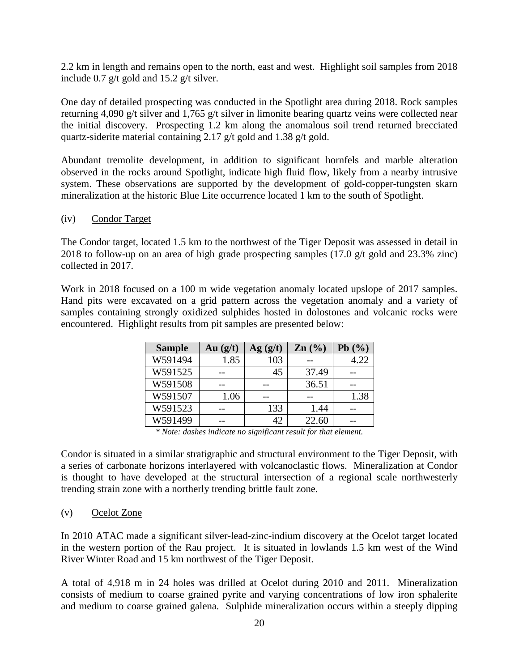2.2 km in length and remains open to the north, east and west. Highlight soil samples from 2018 include 0.7 g/t gold and 15.2 g/t silver.

One day of detailed prospecting was conducted in the Spotlight area during 2018. Rock samples returning 4,090 g/t silver and 1,765 g/t silver in limonite bearing quartz veins were collected near the initial discovery. Prospecting 1.2 km along the anomalous soil trend returned brecciated quartz-siderite material containing 2.17 g/t gold and 1.38 g/t gold.

Abundant tremolite development, in addition to significant hornfels and marble alteration observed in the rocks around Spotlight, indicate high fluid flow, likely from a nearby intrusive system. These observations are supported by the development of gold-copper-tungsten skarn mineralization at the historic Blue Lite occurrence located 1 km to the south of Spotlight.

### (iv) Condor Target

The Condor target, located 1.5 km to the northwest of the Tiger Deposit was assessed in detail in 2018 to follow-up on an area of high grade prospecting samples (17.0 g/t gold and 23.3% zinc) collected in 2017.

Work in 2018 focused on a 100 m wide vegetation anomaly located upslope of 2017 samples. Hand pits were excavated on a grid pattern across the vegetation anomaly and a variety of samples containing strongly oxidized sulphides hosted in dolostones and volcanic rocks were encountered. Highlight results from pit samples are presented below:

| <b>Sample</b> | Au(g/t) | Ag(g/t) | $\text{Zn}$ $\left(\frac{0}{0}\right)$ | Pb(%) |
|---------------|---------|---------|----------------------------------------|-------|
| W591494       | 1.85    | 103     |                                        | 4.22  |
| W591525       |         | 45      | 37.49                                  |       |
| W591508       |         |         | 36.51                                  |       |
| W591507       | 1.06    |         |                                        | 1.38  |
| W591523       |         | 133     | 1.44                                   |       |
| W591499       |         | 42      | 22.60                                  |       |

*\* Note: dashes indicate no significant result for that element.*

Condor is situated in a similar stratigraphic and structural environment to the Tiger Deposit, with a series of carbonate horizons interlayered with volcanoclastic flows. Mineralization at Condor is thought to have developed at the structural intersection of a regional scale northwesterly trending strain zone with a northerly trending brittle fault zone.

(v) Ocelot Zone

In 2010 ATAC made a significant silver-lead-zinc-indium discovery at the Ocelot target located in the western portion of the Rau project. It is situated in lowlands 1.5 km west of the Wind River Winter Road and 15 km northwest of the Tiger Deposit.

A total of 4,918 m in 24 holes was drilled at Ocelot during 2010 and 2011. Mineralization consists of medium to coarse grained pyrite and varying concentrations of low iron sphalerite and medium to coarse grained galena. Sulphide mineralization occurs within a steeply dipping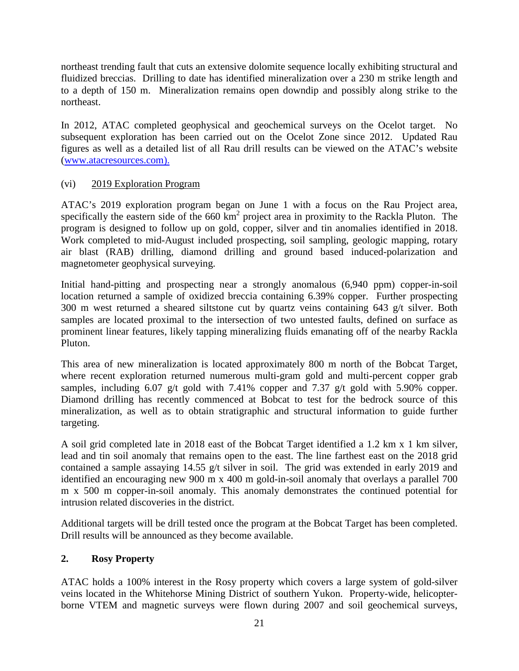northeast trending fault that cuts an extensive dolomite sequence locally exhibiting structural and fluidized breccias. Drilling to date has identified mineralization over a 230 m strike length and to a depth of 150 m. Mineralization remains open downdip and possibly along strike to the northeast.

In 2012, ATAC completed geophysical and geochemical surveys on the Ocelot target. No subsequent exploration has been carried out on the Ocelot Zone since 2012. Updated Rau figures as well as a detailed list of all Rau drill results can be viewed on the ATAC's website [\(www.atacresources.com\).](http://www.atacresources.com)./)

# (vi) 2019 Exploration Program

ATAC's 2019 exploration program began on June 1 with a focus on the Rau Project area, specifically the eastern side of the 660 km<sup>2</sup> project area in proximity to the Rackla Pluton. The program is designed to follow up on gold, copper, silver and tin anomalies identified in 2018. Work completed to mid-August included prospecting, soil sampling, geologic mapping, rotary air blast (RAB) drilling, diamond drilling and ground based induced-polarization and magnetometer geophysical surveying.

Initial hand-pitting and prospecting near a strongly anomalous (6,940 ppm) copper-in-soil location returned a sample of oxidized breccia containing 6.39% copper. Further prospecting 300 m west returned a sheared siltstone cut by quartz veins containing 643 g/t silver. Both samples are located proximal to the intersection of two untested faults, defined on surface as prominent linear features, likely tapping mineralizing fluids emanating off of the nearby Rackla Pluton.

This area of new mineralization is located approximately 800 m north of the Bobcat Target, where recent exploration returned numerous multi-gram gold and multi-percent copper grab samples, including 6.07 g/t gold with 7.41% copper and 7.37 g/t gold with 5.90% copper. Diamond drilling has recently commenced at Bobcat to test for the bedrock source of this mineralization, as well as to obtain stratigraphic and structural information to guide further targeting.

A soil grid completed late in 2018 east of the Bobcat Target identified a 1.2 km x 1 km silver, lead and tin soil anomaly that remains open to the east. The line farthest east on the 2018 grid contained a sample assaying 14.55 g/t silver in soil. The grid was extended in early 2019 and identified an encouraging new 900 m x 400 m gold-in-soil anomaly that overlays a parallel 700 m x 500 m copper-in-soil anomaly. This anomaly demonstrates the continued potential for intrusion related discoveries in the district.

Additional targets will be drill tested once the program at the Bobcat Target has been completed. Drill results will be announced as they become available.

# **2. Rosy Property**

ATAC holds a 100% interest in the Rosy property which covers a large system of gold-silver veins located in the Whitehorse Mining District of southern Yukon. Property-wide, helicopterborne VTEM and magnetic surveys were flown during 2007 and soil geochemical surveys,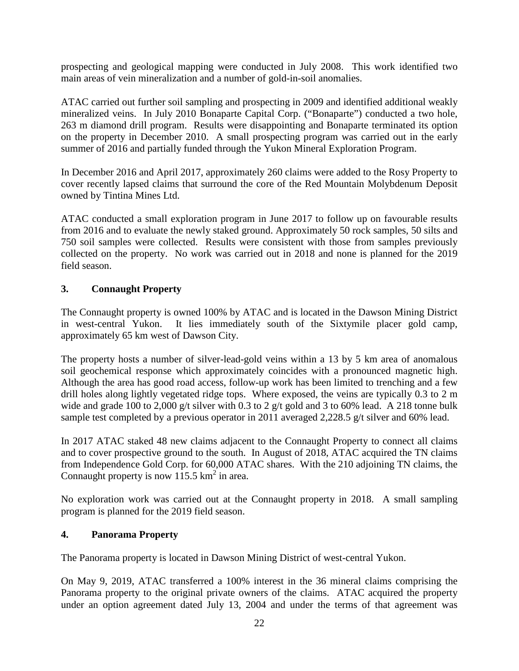prospecting and geological mapping were conducted in July 2008. This work identified two main areas of vein mineralization and a number of gold-in-soil anomalies.

ATAC carried out further soil sampling and prospecting in 2009 and identified additional weakly mineralized veins. In July 2010 Bonaparte Capital Corp. ("Bonaparte") conducted a two hole, 263 m diamond drill program. Results were disappointing and Bonaparte terminated its option on the property in December 2010. A small prospecting program was carried out in the early summer of 2016 and partially funded through the Yukon Mineral Exploration Program.

In December 2016 and April 2017, approximately 260 claims were added to the Rosy Property to cover recently lapsed claims that surround the core of the Red Mountain Molybdenum Deposit owned by Tintina Mines Ltd.

ATAC conducted a small exploration program in June 2017 to follow up on favourable results from 2016 and to evaluate the newly staked ground. Approximately 50 rock samples, 50 silts and 750 soil samples were collected. Results were consistent with those from samples previously collected on the property. No work was carried out in 2018 and none is planned for the 2019 field season.

# **3. Connaught Property**

The Connaught property is owned 100% by ATAC and is located in the Dawson Mining District in west-central Yukon. It lies immediately south of the Sixtymile placer gold camp, approximately 65 km west of Dawson City.

The property hosts a number of silver-lead-gold veins within a 13 by 5 km area of anomalous soil geochemical response which approximately coincides with a pronounced magnetic high. Although the area has good road access, follow-up work has been limited to trenching and a few drill holes along lightly vegetated ridge tops. Where exposed, the veins are typically 0.3 to 2 m wide and grade 100 to 2,000 g/t silver with 0.3 to 2 g/t gold and 3 to 60% lead. A 218 tonne bulk sample test completed by a previous operator in 2011 averaged 2,228.5 g/t silver and 60% lead.

In 2017 ATAC staked 48 new claims adjacent to the Connaught Property to connect all claims and to cover prospective ground to the south. In August of 2018, ATAC acquired the TN claims from Independence Gold Corp. for 60,000 ATAC shares. With the 210 adjoining TN claims, the Connaught property is now  $115.5 \text{ km}^2$  in area.

No exploration work was carried out at the Connaught property in 2018. A small sampling program is planned for the 2019 field season.

## **4. Panorama Property**

The Panorama property is located in Dawson Mining District of west-central Yukon.

On May 9, 2019, ATAC transferred a 100% interest in the 36 mineral claims comprising the Panorama property to the original private owners of the claims. ATAC acquired the property under an option agreement dated July 13, 2004 and under the terms of that agreement was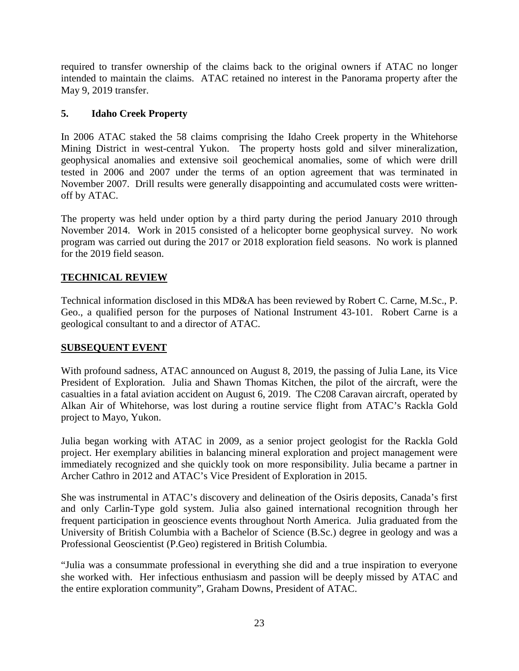required to transfer ownership of the claims back to the original owners if ATAC no longer intended to maintain the claims. ATAC retained no interest in the Panorama property after the May 9, 2019 transfer.

## **5. Idaho Creek Property**

In 2006 ATAC staked the 58 claims comprising the Idaho Creek property in the Whitehorse Mining District in west-central Yukon. The property hosts gold and silver mineralization, geophysical anomalies and extensive soil geochemical anomalies, some of which were drill tested in 2006 and 2007 under the terms of an option agreement that was terminated in November 2007. Drill results were generally disappointing and accumulated costs were writtenoff by ATAC.

The property was held under option by a third party during the period January 2010 through November 2014. Work in 2015 consisted of a helicopter borne geophysical survey. No work program was carried out during the 2017 or 2018 exploration field seasons. No work is planned for the 2019 field season.

# **TECHNICAL REVIEW**

Technical information disclosed in this MD&A has been reviewed by Robert C. Carne, M.Sc., P. Geo., a qualified person for the purposes of National Instrument 43-101. Robert Carne is a geological consultant to and a director of ATAC.

## **SUBSEQUENT EVENT**

With profound sadness, ATAC announced on August 8, 2019, the passing of Julia Lane, its Vice President of Exploration. Julia and Shawn Thomas Kitchen, the pilot of the aircraft, were the casualties in a fatal aviation accident on August 6, 2019. The C208 Caravan aircraft, operated by Alkan Air of Whitehorse, was lost during a routine service flight from ATAC's Rackla Gold project to Mayo, Yukon.

Julia began working with ATAC in 2009, as a senior project geologist for the Rackla Gold project. Her exemplary abilities in balancing mineral exploration and project management were immediately recognized and she quickly took on more responsibility. Julia became a partner in Archer Cathro in 2012 and ATAC's Vice President of Exploration in 2015.

She was instrumental in ATAC's discovery and delineation of the Osiris deposits, Canada's first and only Carlin-Type gold system. Julia also gained international recognition through her frequent participation in geoscience events throughout North America. Julia graduated from the University of British Columbia with a Bachelor of Science (B.Sc.) degree in geology and was a Professional Geoscientist (P.Geo) registered in British Columbia.

"Julia was a consummate professional in everything she did and a true inspiration to everyone she worked with. Her infectious enthusiasm and passion will be deeply missed by ATAC and the entire exploration community", Graham Downs, President of ATAC.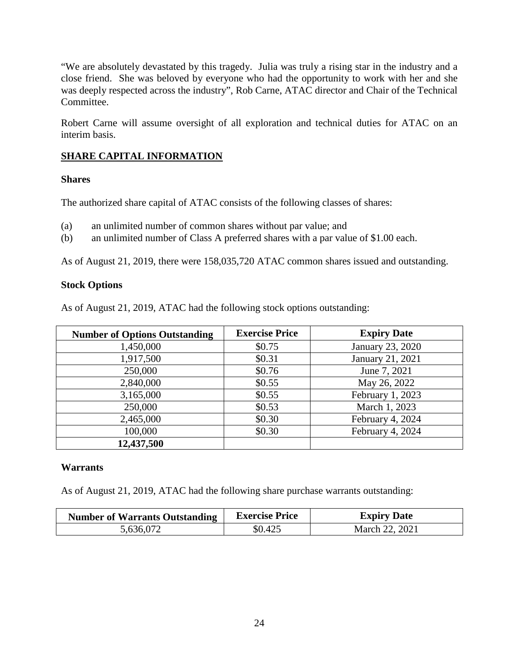"We are absolutely devastated by this tragedy. Julia was truly a rising star in the industry and a close friend. She was beloved by everyone who had the opportunity to work with her and she was deeply respected across the industry", Rob Carne, ATAC director and Chair of the Technical Committee.

Robert Carne will assume oversight of all exploration and technical duties for ATAC on an interim basis.

# **SHARE CAPITAL INFORMATION**

### **Shares**

The authorized share capital of ATAC consists of the following classes of shares:

- (a) an unlimited number of common shares without par value; and
- (b) an unlimited number of Class A preferred shares with a par value of \$1.00 each.

As of August 21, 2019, there were 158,035,720 ATAC common shares issued and outstanding.

### **Stock Options**

As of August 21, 2019, ATAC had the following stock options outstanding:

| <b>Number of Options Outstanding</b> | <b>Exercise Price</b> | <b>Expiry Date</b> |
|--------------------------------------|-----------------------|--------------------|
| 1,450,000                            | \$0.75                | January 23, 2020   |
| 1,917,500                            | \$0.31                | January 21, 2021   |
| 250,000                              | \$0.76                | June 7, 2021       |
| 2,840,000                            | \$0.55                | May 26, 2022       |
| 3,165,000                            | \$0.55                | February 1, 2023   |
| 250,000                              | \$0.53                | March 1, 2023      |
| 2,465,000                            | \$0.30                | February 4, 2024   |
| 100,000                              | \$0.30                | February 4, 2024   |
| 12,437,500                           |                       |                    |

### **Warrants**

As of August 21, 2019, ATAC had the following share purchase warrants outstanding:

| <b>Number of Warrants Outstanding</b> | <b>Exercise Price</b> | <b>Expiry Date</b> |
|---------------------------------------|-----------------------|--------------------|
| 5,636,072                             | \$0.425               | March 22, 2021     |